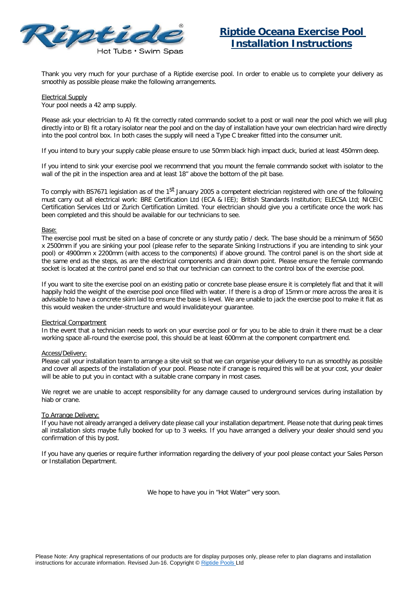

Thank you very much for your purchase of a Riptide exercise pool. In order to enable us to complete your delivery as smoothly as possible please make the following arrangements.

#### Electrical Supply

Your pool needs a 42 amp supply.

Please ask your electrician to A) fit the correctly rated commando socket to a post or wall near the pool which we will plug directly into or B) fit a rotary isolator near the pool and on the day of installation have your own electrician hard wire directly into the pool control box. In both cases the supply will need a Type C breaker fitted into the consumer unit.

If you intend to bury your supply cable please ensure to use 50mm black high impact duck, buried at least 450mm deep.

If you intend to sink your exercise pool we recommend that you mount the female commando socket with isolator to the wall of the pit in the inspection area and at least 18" above the bottom of the pit base.

To comply with BS7671 legislation as of the 1<sup>st</sup> January 2005 a competent electrician registered with one of the following must carry out all electrical work: BRE Certification Ltd (ECA & IEE); British Standards Institution; ELECSA Ltd; NICEIC Certification Services Ltd or Zurich Certification Limited. Your electrician should give you a certificate once the work has been completed and this should be available for our technicians to see.

# Base:

The exercise pool must be sited on a base of concrete or any sturdy patio / deck. The base should be a minimum of 5650 x 2500mm if you are sinking your pool (please refer to the separate Sinking Instructions if you are intending to sink your pool) or 4900mm x 2200mm (with access to the components) if above ground. The control panel is on the short side at the same end as the steps, as are the electrical components and drain down point. Please ensure the female commando socket is located at the control panel end so that our technician can connect to the control box of the exercise pool.

If you want to site the exercise pool on an existing patio or concrete base please ensure it is completely flat and that it will happily hold the weight of the exercise pool once filled with water. If there is a drop of 15mm or more across the area it is advisable to have a concrete skim laid to ensure the base is level. We are unable to jack the exercise pool to make it flat as this would weaken the under-structure and would invalidateyour guarantee.

# Electrical Compartment

In the event that a technician needs to work on your exercise pool or for you to be able to drain it there must be a clear working space all-round the exercise pool, this should be at least 600mm at the component compartment end.

# Access/Delivery:

Please call your installation team to arrange a site visit so that we can organise your delivery to run as smoothly as possible and cover all aspects of the installation of your pool. Please note if cranage is required this will be at your cost, your dealer will be able to put you in contact with a suitable crane company in most cases.

We regret we are unable to accept responsibility for any damage caused to underground services during installation by hiab or crane.

# To Arrange Delivery:

If you have not already arranged a delivery date please call your installation department. Please note that during peak times all installation slots maybe fully booked for up to 3 weeks. If you have arranged a delivery your dealer should send you confirmation of this by post.

If you have any queries or require further information regarding the delivery of your pool please contact your Sales Person or Installation Department.

We hope to have you in "Hot Water" very soon.